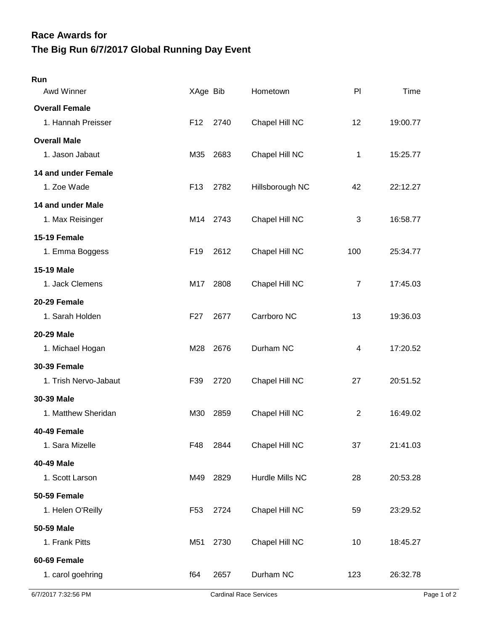## **The Big Run 6/7/2017 Global Running Day Event Race Awards for**

| Run                                         |                 |      |                 |                |          |
|---------------------------------------------|-----------------|------|-----------------|----------------|----------|
| Awd Winner                                  | XAge Bib        |      | Hometown        | PI             | Time     |
| <b>Overall Female</b><br>1. Hannah Preisser | F <sub>12</sub> | 2740 | Chapel Hill NC  | 12             | 19:00.77 |
|                                             |                 |      |                 |                |          |
| <b>Overall Male</b><br>1. Jason Jabaut      | M35             | 2683 | Chapel Hill NC  | 1              | 15:25.77 |
| 14 and under Female                         |                 |      |                 |                |          |
| 1. Zoe Wade                                 | F <sub>13</sub> | 2782 | Hillsborough NC | 42             | 22:12.27 |
| 14 and under Male                           |                 |      |                 |                |          |
| 1. Max Reisinger                            | M14             | 2743 | Chapel Hill NC  | 3              | 16:58.77 |
| 15-19 Female                                |                 |      |                 |                |          |
| 1. Emma Boggess                             | F <sub>19</sub> | 2612 | Chapel Hill NC  | 100            | 25:34.77 |
| <b>15-19 Male</b>                           |                 |      |                 |                |          |
| 1. Jack Clemens                             | M17             | 2808 | Chapel Hill NC  | $\overline{7}$ | 17:45.03 |
| 20-29 Female                                |                 |      |                 |                |          |
| 1. Sarah Holden                             | F <sub>27</sub> | 2677 | Carrboro NC     | 13             | 19:36.03 |
| <b>20-29 Male</b>                           |                 |      |                 |                |          |
| 1. Michael Hogan                            | M28             | 2676 | Durham NC       | 4              | 17:20.52 |
| <b>30-39 Female</b>                         |                 |      |                 |                |          |
| 1. Trish Nervo-Jabaut                       | F39             | 2720 | Chapel Hill NC  | 27             | 20:51.52 |
| 30-39 Male                                  |                 |      |                 |                |          |
| 1. Matthew Sheridan                         | M30             | 2859 | Chapel Hill NC  | $\overline{2}$ | 16:49.02 |
| 40-49 Female                                |                 |      |                 |                |          |
| 1. Sara Mizelle                             | F48             | 2844 | Chapel Hill NC  | 37             | 21:41.03 |
| 40-49 Male                                  |                 |      |                 |                |          |
| 1. Scott Larson                             | M49             | 2829 | Hurdle Mills NC | 28             | 20:53.28 |
| 50-59 Female                                |                 |      |                 |                |          |
| 1. Helen O'Reilly                           | F <sub>53</sub> | 2724 | Chapel Hill NC  | 59             | 23:29.52 |
| 50-59 Male                                  |                 |      |                 |                |          |
| 1. Frank Pitts                              | M51             | 2730 | Chapel Hill NC  | 10             | 18:45.27 |
| 60-69 Female                                |                 |      |                 |                |          |
| 1. carol goehring                           | f64             | 2657 | Durham NC       | 123            | 26:32.78 |